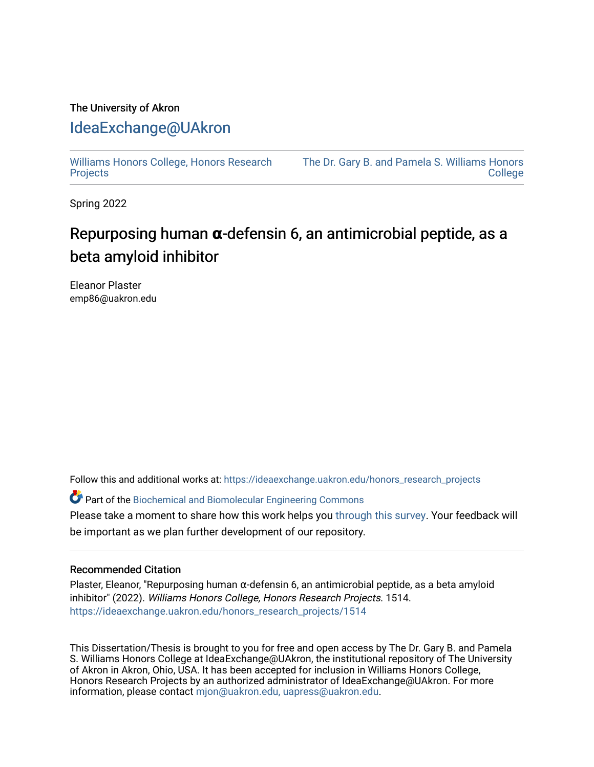## The University of Akron [IdeaExchange@UAkron](https://ideaexchange.uakron.edu/)

[Williams Honors College, Honors Research](https://ideaexchange.uakron.edu/honors_research_projects)  **[Projects](https://ideaexchange.uakron.edu/honors_research_projects)** 

[The Dr. Gary B. and Pamela S. Williams Honors](https://ideaexchange.uakron.edu/honorscollege_ideas)  **College** 

Spring 2022

## Repurposing human **α**-defensin 6, an antimicrobial peptide, as a beta amyloid inhibitor

Eleanor Plaster emp86@uakron.edu

Follow this and additional works at: [https://ideaexchange.uakron.edu/honors\\_research\\_projects](https://ideaexchange.uakron.edu/honors_research_projects?utm_source=ideaexchange.uakron.edu%2Fhonors_research_projects%2F1514&utm_medium=PDF&utm_campaign=PDFCoverPages) 

Part of the [Biochemical and Biomolecular Engineering Commons](http://network.bepress.com/hgg/discipline/241?utm_source=ideaexchange.uakron.edu%2Fhonors_research_projects%2F1514&utm_medium=PDF&utm_campaign=PDFCoverPages)

Please take a moment to share how this work helps you [through this survey](http://survey.az1.qualtrics.com/SE/?SID=SV_eEVH54oiCbOw05f&URL=https://ideaexchange.uakron.edu/honors_research_projects/1514). Your feedback will be important as we plan further development of our repository.

## Recommended Citation

Plaster, Eleanor, "Repurposing human α-defensin 6, an antimicrobial peptide, as a beta amyloid inhibitor" (2022). Williams Honors College, Honors Research Projects. 1514. [https://ideaexchange.uakron.edu/honors\\_research\\_projects/1514](https://ideaexchange.uakron.edu/honors_research_projects/1514?utm_source=ideaexchange.uakron.edu%2Fhonors_research_projects%2F1514&utm_medium=PDF&utm_campaign=PDFCoverPages) 

This Dissertation/Thesis is brought to you for free and open access by The Dr. Gary B. and Pamela S. Williams Honors College at IdeaExchange@UAkron, the institutional repository of The University of Akron in Akron, Ohio, USA. It has been accepted for inclusion in Williams Honors College, Honors Research Projects by an authorized administrator of IdeaExchange@UAkron. For more information, please contact [mjon@uakron.edu, uapress@uakron.edu.](mailto:mjon@uakron.edu,%20uapress@uakron.edu)